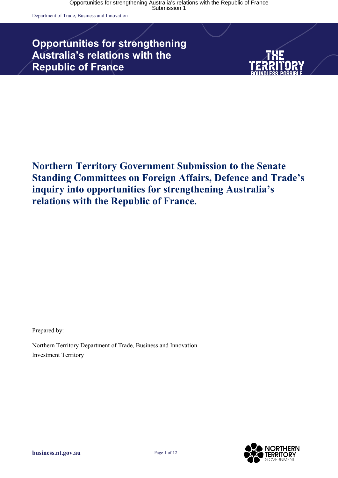Department of Trade, Business and Innovation

# **Opportunities for strengthening Australia's relations with the Republic of France**



### **Northern Territory Government Submission to the Senate Standing Committees on Foreign Affairs, Defence and Trade's inquiry into opportunities for strengthening Australia's relations with the Republic of France.**

Prepared by:

Northern Territory Department of Trade, Business and Innovation Investment Territory

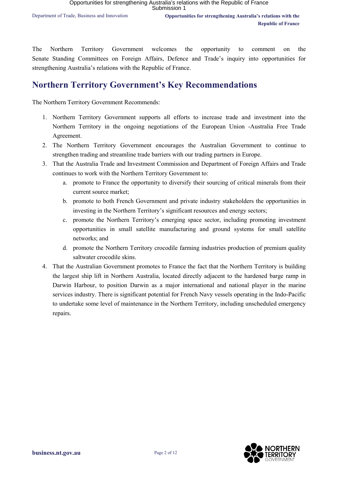The Northern Territory Government welcomes the opportunity to comment on the Senate Standing Committees on Foreign Affairs, Defence and Trade's inquiry into opportunities for strengthening Australia's relations with the Republic of France.

### **Northern Territory Government's Key Recommendations**

The Northern Territory Government Recommends:

- 1. Northern Territory Government supports all efforts to increase trade and investment into the Northern Territory in the ongoing negotiations of the European Union -Australia Free Trade Agreement.
- 2. The Northern Territory Government encourages the Australian Government to continue to strengthen trading and streamline trade barriers with our trading partners in Europe.
- 3. That the Australia Trade and Investment Commission and Department of Foreign Affairs and Trade continues to work with the Northern Territory Government to:
	- a. promote to France the opportunity to diversify their sourcing of critical minerals from their current source market;
	- b. promote to both French Government and private industry stakeholders the opportunities in investing in the Northern Territory's significant resources and energy sectors;
	- c. promote the Northern Territory's emerging space sector, including promoting investment opportunities in small satellite manufacturing and ground systems for small satellite networks; and
	- d. promote the Northern Territory crocodile farming industries production of premium quality saltwater crocodile skins.
- 4. That the Australian Government promotes to France the fact that the Northern Territory is building the largest ship lift in Northern Australia, located directly adjacent to the hardened barge ramp in Darwin Harbour, to position Darwin as a major international and national player in the marine services industry. There is significant potential for French Navy vessels operating in the Indo-Pacific to undertake some level of maintenance in the Northern Territory, including unscheduled emergency repairs.

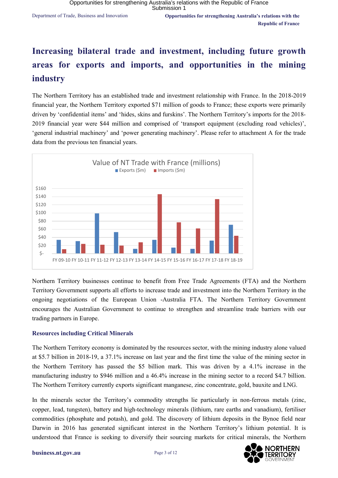# **Increasing bilateral trade and investment, including future growth areas for exports and imports, and opportunities in the mining industry**

The Northern Territory has an established trade and investment relationship with France. In the 2018-2019 financial year, the Northern Territory exported \$71 million of goods to France; these exports were primarily driven by 'confidential items' and 'hides, skins and furskins'. The Northern Territory's imports for the 2018- 2019 financial year were \$44 million and comprised of 'transport equipment (excluding road vehicles)', 'general industrial machinery' and 'power generating machinery'. Please refer to attachment A for the trade data from the previous ten financial years.



Northern Territory businesses continue to benefit from Free Trade Agreements (FTA) and the Northern Territory Government supports all efforts to increase trade and investment into the Northern Territory in the ongoing negotiations of the European Union -Australia FTA. The Northern Territory Government encourages the Australian Government to continue to strengthen and streamline trade barriers with our trading partners in Europe.

### **Resources including Critical Minerals**

The Northern Territory economy is dominated by the resources sector, with the mining industry alone valued at \$5.7 billion in 2018-19, a 37.1% increase on last year and the first time the value of the mining sector in the Northern Territory has passed the \$5 billion mark. This was driven by a 4.1% increase in the manufacturing industry to \$946 million and a 46.4% increase in the mining sector to a record \$4.7 billion. The Northern Territory currently exports significant manganese, zinc concentrate, gold, bauxite and LNG.

In the minerals sector the Territory's commodity strengths lie particularly in non-ferrous metals (zinc, copper, lead, tungsten), battery and high-technology minerals (lithium, rare earths and vanadium), fertiliser commodities (phosphate and potash), and gold. The discovery of lithium deposits in the Bynoe field near Darwin in 2016 has generated significant interest in the Northern Territory's lithium potential. It is understood that France is seeking to diversify their sourcing markets for critical minerals, the Northern

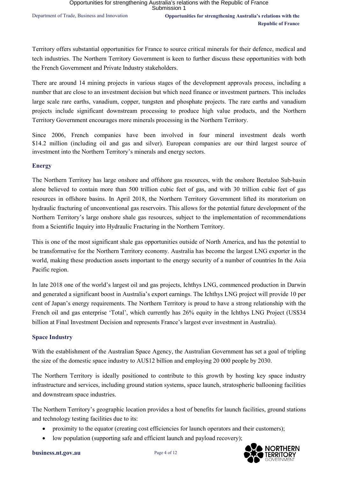Territory offers substantial opportunities for France to source critical minerals for their defence, medical and tech industries. The Northern Territory Government is keen to further discuss these opportunities with both the French Government and Private Industry stakeholders.

There are around 14 mining projects in various stages of the development approvals process, including a number that are close to an investment decision but which need finance or investment partners. This includes large scale rare earths, vanadium, copper, tungsten and phosphate projects. The rare earths and vanadium projects include significant downstream processing to produce high value products, and the Northern Territory Government encourages more minerals processing in the Northern Territory.

Since 2006, French companies have been involved in four mineral investment deals worth \$14.2 million (including oil and gas and silver). European companies are our third largest source of investment into the Northern Territory's minerals and energy sectors.

### **Energy**

The Northern Territory has large onshore and offshore gas resources, with the onshore Beetaloo Sub-basin alone believed to contain more than 500 trillion cubic feet of gas, and with 30 trillion cubic feet of gas resources in offshore basins. In April 2018, the Northern Territory Government lifted its moratorium on hydraulic fracturing of unconventional gas reservoirs. This allows for the potential future development of the Northern Territory's large onshore shale gas resources, subject to the implementation of recommendations from a Scientific Inquiry into Hydraulic Fracturing in the Northern Territory.

This is one of the most significant shale gas opportunities outside of North America, and has the potential to be transformative for the Northern Territory economy. Australia has become the largest LNG exporter in the world, making these production assets important to the energy security of a number of countries In the Asia Pacific region.

In late 2018 one of the world's largest oil and gas projects, Ichthys LNG, commenced production in Darwin and generated a significant boost in Australia's export earnings. The Ichthys LNG project will provide 10 per cent of Japan's energy requirements. The Northern Territory is proud to have a strong relationship with the French oil and gas enterprise 'Total', which currently has 26% equity in the Ichthys LNG Project (US\$34 billion at Final Investment Decision and represents France's largest ever investment in Australia).

### **Space Industry**

With the establishment of the Australian Space Agency, the Australian Government has set a goal of tripling the size of the domestic space industry to AU\$12 billion and employing 20 000 people by 2030.

The Northern Territory is ideally positioned to contribute to this growth by hosting key space industry infrastructure and services, including ground station systems, space launch, stratospheric ballooning facilities and downstream space industries.

The Northern Territory's geographic location provides a host of benefits for launch facilities, ground stations and technology testing facilities due to its:

- proximity to the equator (creating cost efficiencies for launch operators and their customers);
- low population (supporting safe and efficient launch and payload recovery);

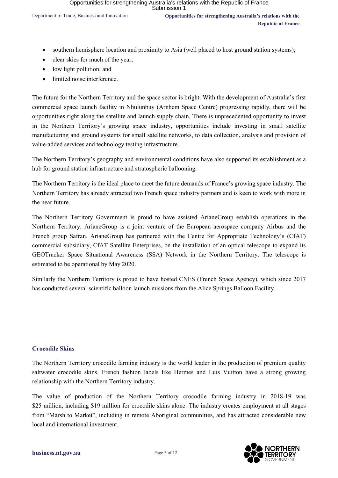- southern hemisphere location and proximity to Asia (well placed to host ground station systems);
- clear skies for much of the year;
- low light pollution; and
- limited noise interference.

The future for the Northern Territory and the space sector is bright. With the development of Australia's first commercial space launch facility in Nhulunbuy (Arnhem Space Centre) progressing rapidly, there will be opportunities right along the satellite and launch supply chain. There is unprecedented opportunity to invest in the Northern Territory's growing space industry, opportunities include investing in small satellite manufacturing and ground systems for small satellite networks, to data collection, analysis and provision of value-added services and technology testing infrastructure.

The Northern Territory's geography and environmental conditions have also supported its establishment as a hub for ground station infrastructure and stratospheric ballooning.

The Northern Territory is the ideal place to meet the future demands of France's growing space industry. The Northern Territory has already attracted two French space industry partners and is keen to work with more in the near future.

The Northern Territory Government is proud to have assisted ArianeGroup establish operations in the Northern Territory. ArianeGroup is a joint venture of the European aerospace company Airbus and the French group Safran. ArianeGroup has partnered with the Centre for Appropriate Technology's (CfAT) commercial subsidiary, CfAT Satellite Enterprises, on the installation of an optical telescope to expand its GEOTracker Space Situational Awareness (SSA) Network in the Northern Territory. The telescope is estimated to be operational by May 2020.

Similarly the Northern Territory is proud to have hosted CNES (French Space Agency), which since 2017 has conducted several scientific balloon launch missions from the Alice Springs Balloon Facility.

### **Crocodile Skins**

The Northern Territory crocodile farming industry is the world leader in the production of premium quality saltwater crocodile skins. French fashion labels like Hermes and Luis Vuitton have a strong growing relationship with the Northern Territory industry.

The value of production of the Northern Territory crocodile farming industry in 2018-19 was \$25 million, including \$19 million for crocodile skins alone. The industry creates employment at all stages from "Marsh to Market", including in remote Aboriginal communities, and has attracted considerable new local and international investment.

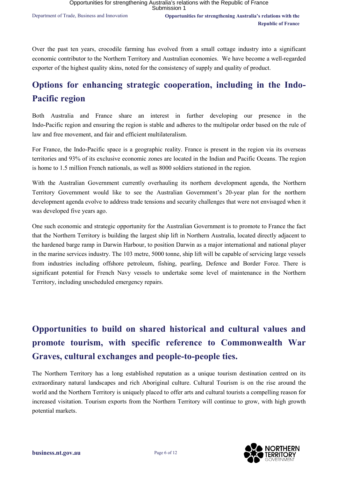Over the past ten years, crocodile farming has evolved from a small cottage industry into a significant economic contributor to the Northern Territory and Australian economies. We have become a well-regarded exporter of the highest quality skins, noted for the consistency of supply and quality of product.

### **Options for enhancing strategic cooperation, including in the Indo-Pacific region**

Both Australia and France share an interest in further developing our presence in the Indo-Pacific region and ensuring the region is stable and adheres to the multipolar order based on the rule of law and free movement, and fair and efficient multilateralism.

For France, the Indo-Pacific space is a geographic reality. France is present in the region via its overseas territories and 93% of its exclusive economic zones are located in the Indian and Pacific Oceans. The region is home to 1.5 million French nationals, as well as 8000 soldiers stationed in the region.

With the Australian Government currently overhauling its northern development agenda, the Northern Territory Government would like to see the Australian Government's 20-year plan for the northern development agenda evolve to address trade tensions and security challenges that were not envisaged when it was developed five years ago.

One such economic and strategic opportunity for the Australian Government is to promote to France the fact that the Northern Territory is building the largest ship lift in Northern Australia, located directly adjacent to the hardened barge ramp in Darwin Harbour, to position Darwin as a major international and national player in the marine services industry. The 103 metre, 5000 tonne, ship lift will be capable of servicing large vessels from industries including offshore petroleum, fishing, pearling, Defence and Border Force. There is significant potential for French Navy vessels to undertake some level of maintenance in the Northern Territory, including unscheduled emergency repairs.

# **Opportunities to build on shared historical and cultural values and promote tourism, with specific reference to Commonwealth War Graves, cultural exchanges and people-to-people ties.**

The Northern Territory has a long established reputation as a unique tourism destination centred on its extraordinary natural landscapes and rich Aboriginal culture. Cultural Tourism is on the rise around the world and the Northern Territory is uniquely placed to offer arts and cultural tourists a compelling reason for increased visitation. Tourism exports from the Northern Territory will continue to grow, with high growth potential markets.

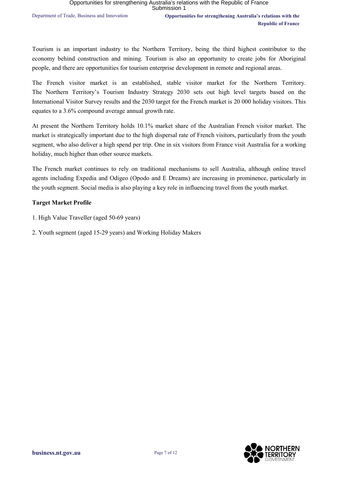Tourism is an important industry to the Northern Territory, being the third highest contributor to the economy behind construction and mining. Tourism is also an opportunity to create jobs for Aboriginal people, and there are opportunities for tourism enterprise development in remote and regional areas.

The French visitor market is an established, stable visitor market for the Northern Territory. The Northern Territory's Tourism Industry Strategy 2030 sets out high level targets based on the International Visitor Survey results and the 2030 target for the French market is 20 000 holiday visitors. This equates to a 3.6% compound average annual growth rate.

At present the Northern Territory holds 10.1% market share of the Australian French visitor market. The market is strategically important due to the high dispersal rate of French visitors, particularly from the youth segment, who also deliver a high spend per trip. One in six visitors from France visit Australia for a working holiday, much higher than other source markets.

The French market continues to rely on traditional mechanisms to sell Australia, although online travel agents including Expedia and Odigeo (Opodo and E Dreams) are increasing in prominence, particularly in the youth segment. Social media is also playing a key role in influencing travel from the youth market.

### **Target Market Profile**

- 1. High Value Traveller (aged 50-69 years)
- 2. Youth segment (aged 15-29 years) and Working Holiday Makers

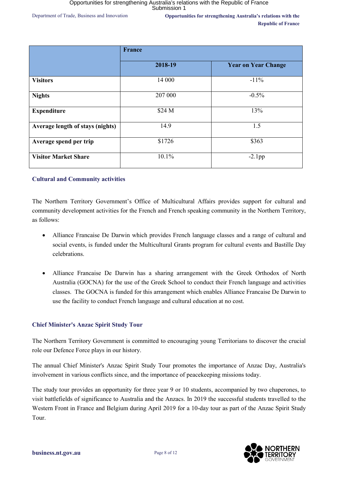Department of Trade, Business and Innovation **Opportunities for strengthening Australia's relations with the Republic of France**

|                                  | <b>France</b> |                            |
|----------------------------------|---------------|----------------------------|
|                                  | 2018-19       | <b>Year on Year Change</b> |
| <b>Visitors</b>                  | 14 000        | $-11\%$                    |
| <b>Nights</b>                    | 207 000       | $-0.5%$                    |
| <b>Expenditure</b>               | \$24 M        | 13%                        |
| Average length of stays (nights) | 14.9          | 1.5                        |
| Average spend per trip           | \$1726        | \$363                      |
| <b>Visitor Market Share</b>      | 10.1%         | $-2.1$ pp                  |

### **Cultural and Community activities**

The Northern Territory Government's Office of Multicultural Affairs provides support for cultural and community development activities for the French and French speaking community in the Northern Territory, as follows:

- Alliance Francaise De Darwin which provides French language classes and a range of cultural and social events, is funded under the Multicultural Grants program for cultural events and Bastille Day celebrations.
- Alliance Francaise De Darwin has a sharing arrangement with the Greek Orthodox of North Australia (GOCNA) for the use of the Greek School to conduct their French language and activities classes. The GOCNA is funded for this arrangement which enables Alliance Francaise De Darwin to use the facility to conduct French language and cultural education at no cost.

### **Chief Minister's Anzac Spirit Study Tour**

The Northern Territory Government is committed to encouraging young Territorians to discover the crucial role our Defence Force plays in our history.

The annual Chief Minister's Anzac Spirit Study Tour promotes the importance of Anzac Day, Australia's involvement in various conflicts since, and the importance of peacekeeping missions today.

The study tour provides an opportunity for three year 9 or 10 students, accompanied by two chaperones, to visit battlefields of significance to Australia and the Anzacs. In 2019 the successful students travelled to the Western Front in France and Belgium during April 2019 for a 10-day tour as part of the Anzac Spirit Study Tour.

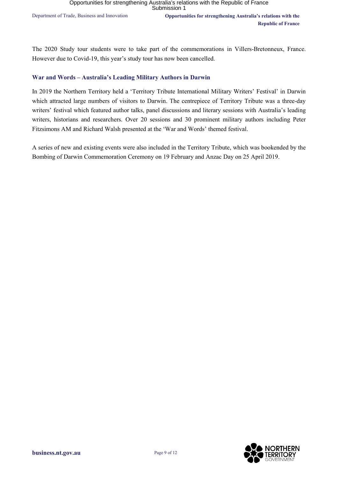The 2020 Study tour students were to take part of the commemorations in Villers-Bretonneux, France. However due to Covid-19, this year's study tour has now been cancelled.

### **War and Words – Australia's Leading Military Authors in Darwin**

In 2019 the Northern Territory held a 'Territory Tribute International Military Writers' Festival' in Darwin which attracted large numbers of visitors to Darwin. The centrepiece of Territory Tribute was a three-day writers' festival which featured author talks, panel discussions and literary sessions with Australia's leading writers, historians and researchers. Over 20 sessions and 30 prominent military authors including Peter Fitzsimons AM and Richard Walsh presented at the 'War and Words' themed festival.

A series of new and existing events were also included in the Territory Tribute, which was bookended by the Bombing of Darwin Commemoration Ceremony on 19 February and Anzac Day on 25 April 2019.

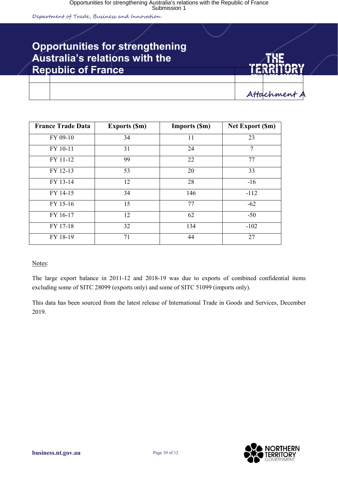Department of Trade, Business and Innovation

Secondary heading to go here

### **Opportunities for strengthening Australia's relations with the Republic of France**



**Attachmen** 

| <b>France Trade Data</b> | <b>Exports (Sm)</b> | <b>Imports (Sm)</b> | <b>Net Export (Sm)</b> |
|--------------------------|---------------------|---------------------|------------------------|
| FY 09-10                 | 34                  | 11                  | 23                     |
| FY 10-11                 | 31                  | 24                  | 7                      |
| FY 11-12                 | 99                  | 22                  | 77                     |
| FY 12-13                 | 53                  | 20                  | 33                     |
| FY 13-14                 | 12                  | 28                  | $-16$                  |
| FY 14-15                 | 34                  | 146                 | $-112$                 |
| FY 15-16                 | 15                  | 77                  | $-62$                  |
| FY 16-17                 | 12                  | 62                  | $-50$                  |
| FY 17-18                 | 32                  | 134                 | $-102$                 |
| FY 18-19                 | 71                  | 44                  | 27                     |

Notes:

The large export balance in 2011-12 and 2018-19 was due to exports of combined confidential items excluding some of SITC 28099 (exports only) and some of SITC 51099 (imports only).

This data has been sourced from the latest release of International Trade in Goods and Services, December 2019.

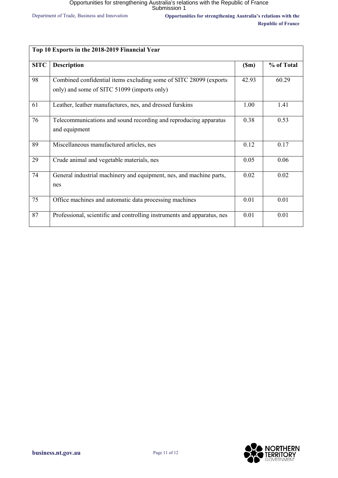Department of Trade, Business and Innovation **Opportunities for strengthening Australia's relations with the Republic of France**

| Top 10 Exports in the 2018-2019 Financial Year |                                                                                                                  |       |            |  |
|------------------------------------------------|------------------------------------------------------------------------------------------------------------------|-------|------------|--|
| <b>SITC</b>                                    | <b>Description</b>                                                                                               | (Sm)  | % of Total |  |
| 98                                             | Combined confidential items excluding some of SITC 28099 (exports<br>only) and some of SITC 51099 (imports only) | 42.93 | 60.29      |  |
| 61                                             | Leather, leather manufactures, nes, and dressed furskins                                                         | 1.00  | 1.41       |  |
| 76                                             | Telecommunications and sound recording and reproducing apparatus<br>and equipment                                | 0.38  | 0.53       |  |
| 89                                             | Miscellaneous manufactured articles, nes                                                                         | 0.12  | 0.17       |  |
| 29                                             | Crude animal and vegetable materials, nes                                                                        | 0.05  | 0.06       |  |
| 74                                             | General industrial machinery and equipment, nes, and machine parts,<br>nes                                       | 0.02  | 0.02       |  |
| 75                                             | Office machines and automatic data processing machines                                                           | 0.01  | 0.01       |  |
| 87                                             | Professional, scientific and controlling instruments and apparatus, nes                                          | 0.01  | 0.01       |  |